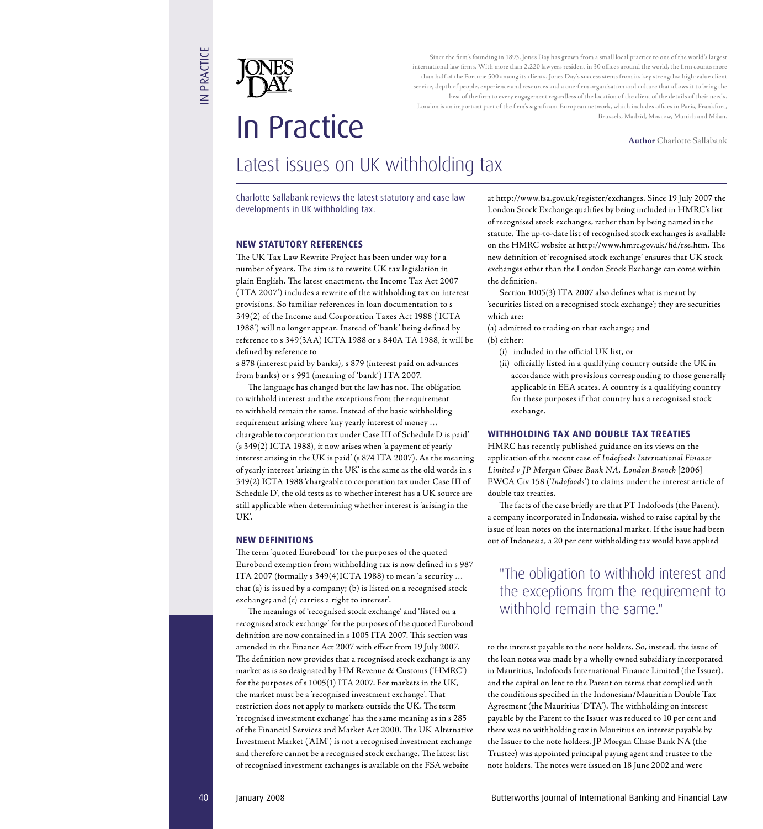Since the firm's founding in 1893, Jones Day has grown from a small local practice to one of the world's largest international law firms. With more than 2,220 lawyers resident in 30 offices around the world, the firm counts more than half of the Fortune 500 among its clients. Jones Day's success stems from its key strengths: high-value client service, depth of people, experience and resources and a one-firm organisation and culture that allows it to bring the best of the firm to every engagement regardless of the location of the client of the details of their needs. London is an important part of the firm's significant European network, which includes offices in Paris, Frankfurt, Brussels, Madrid, Moscow, Munich and Milan.

# **In Practice**<br>Author Charlotte Sallabank

# Latest issues on UK withholding tax

Charlotte Sallabank reviews the latest statutory and case law developments in UK withholding tax.

#### **NEW STATUTORY REFERENCES**

The UK Tax Law Rewrite Project has been under way for a number of years. The aim is to rewrite UK tax legislation in plain English. The latest enactment, the Income Tax Act 2007 ('ITA 2007') includes a rewrite of the withholding tax on interest provisions. So familiar references in loan documentation to s 349(2) of the Income and Corporation Taxes Act 1988 ('ICTA 1988') will no longer appear. Instead of 'bank' being defined by reference to s 349(3AA) ICTA 1988 or s 840A TA 1988, it will be defined by reference to

s 878 (interest paid by banks), s 879 (interest paid on advances from banks) or s 991 (meaning of 'bank') ITA 2007.

The language has changed but the law has not. The obligation to withhold interest and the exceptions from the requirement to withhold remain the same. Instead of the basic withholding requirement arising where 'any yearly interest of money … chargeable to corporation tax under Case III of Schedule D is paid' (s 349(2) ICTA 1988), it now arises when 'a payment of yearly interest arising in the UK is paid' (s 874 ITA 2007). As the meaning of yearly interest 'arising in the UK' is the same as the old words in s 349(2) ICTA 1988 'chargeable to corporation tax under Case III of Schedule D', the old tests as to whether interest has a UK source are still applicable when determining whether interest is 'arising in the  $IIK'$ 

#### **NEW DEFINITIONS**

The term 'quoted Eurobond' for the purposes of the quoted Eurobond exemption from withholding tax is now defined in s 987 ITA 2007 (formally s 349(4)ICTA 1988) to mean 'a security … that (a) is issued by a company; (b) is listed on a recognised stock exchange; and (c) carries a right to interest'.

40 January 2008 Contents in the state of Contents in the state of Contents in the Contents in the state of Contents in the state of Contents in the state of Contents in the state of Contents in the state of Contents in t The meanings of 'recognised stock exchange' and 'listed on a recognised stock exchange' for the purposes of the quoted Eurobond definition are now contained in s 1005 ITA 2007. This section was amended in the Finance Act 2007 with effect from 19 July 2007. The definition now provides that a recognised stock exchange is any market as is so designated by HM Revenue & Customs ('HMRC') for the purposes of s 1005(1) ITA 2007. For markets in the UK, the market must be a 'recognised investment exchange'. That restriction does not apply to markets outside the UK. The term 'recognised investment exchange' has the same meaning as in s 285 of the Financial Services and Market Act 2000. The UK Alternative Investment Market ('AIM') is not a recognised investment exchange and therefore cannot be a recognised stock exchange. The latest list of recognised investment exchanges is available on the FSA website

at http://www.fsa.gov.uk/register/exchanges. Since 19 July 2007 the London Stock Exchange qualifies by being included in HMRC's list of recognised stock exchanges, rather than by being named in the statute. The up-to-date list of recognised stock exchanges is available on the HMRC website at http://www.hmrc.gov.uk/fid/rse.htm. The new definition of 'recognised stock exchange' ensures that UK stock exchanges other than the London Stock Exchange can come within the definition.

Section  $1005(3)$  ITA 2007 also defines what is meant by 'securities listed on a recognised stock exchange'; they are securities which are:

(a) admitted to trading on that exchange; and (b) either:

- $(i)$  included in the official UK list, or
- (ii) officially listed in a qualifying country outside the UK in accordance with provisions corresponding to those generally applicable in EEA states. A country is a qualifying country for these purposes if that country has a recognised stock exchange.

#### **WITHHOLDING TAX AND DOUBLE TAX TREATIES**

HMRC has recently published guidance on its views on the application of the recent case of *Indofoods International Finance Limited v JP Morgan Chase Bank NA, London Branch* [2006] EWCA Civ 158 ('*Indofoods'*) to claims under the interest article of double tax treaties.

The facts of the case briefly are that PT Indofoods (the Parent), a company incorporated in Indonesia, wished to raise capital by the issue of loan notes on the international market. If the issue had been out of Indonesia, a 20 per cent withholding tax would have applied

## "The obligation to withhold interest and the exceptions from the requirement to withhold remain the same."

to the interest payable to the note holders. So, instead, the issue of the loan notes was made by a wholly owned subsidiary incorporated in Mauritius, Indofoods International Finance Limited (the Issuer), and the capital on lent to the Parent on terms that complied with the conditions specified in the Indonesian/Mauritian Double Tax Agreement (the Mauritius 'DTA'). The withholding on interest payable by the Parent to the Issuer was reduced to 10 per cent and there was no withholding tax in Mauritius on interest payable by the Issuer to the note holders. JP Morgan Chase Bank NA (the Trustee) was appointed principal paying agent and trustee to the note holders. The notes were issued on 18 June 2002 and were